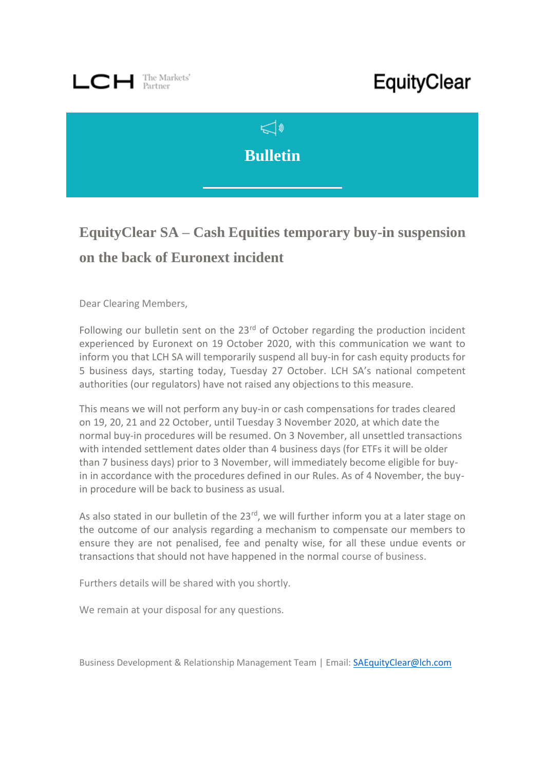## $\Box C$   $\Box$  The Markets'

## EquityClear



## **EquityClear SA – Cash Equities temporary buy-in suspension on the back of Euronext incident**

Dear Clearing Members,

Following our bulletin sent on the  $23<sup>rd</sup>$  of October regarding the production incident experienced by Euronext on 19 October 2020, with this communication we want to inform you that LCH SA will temporarily suspend all buy-in for cash equity products for 5 business days, starting today, Tuesday 27 October. LCH SA's national competent authorities (our regulators) have not raised any objections to this measure.

This means we will not perform any buy-in or cash compensations for trades cleared on 19, 20, 21 and 22 October, until Tuesday 3 November 2020, at which date the normal buy-in procedures will be resumed. On 3 November, all unsettled transactions with intended settlement dates older than 4 business days (for ETFs it will be older than 7 business days) prior to 3 November, will immediately become eligible for buyin in accordance with the procedures defined in our Rules. As of 4 November, the buyin procedure will be back to business as usual.

As also stated in our bulletin of the  $23<sup>rd</sup>$ , we will further inform you at a later stage on the outcome of our analysis regarding a mechanism to compensate our members to ensure they are not penalised, fee and penalty wise, for all these undue events or transactions that should not have happened in the normal course of business.

Furthers details will be shared with you shortly.

We remain at your disposal for any questions.

Business Development & Relationship Management Team | Email: [SAEquityClear@lch.com](mailto:SAEquityClear@lch.com)